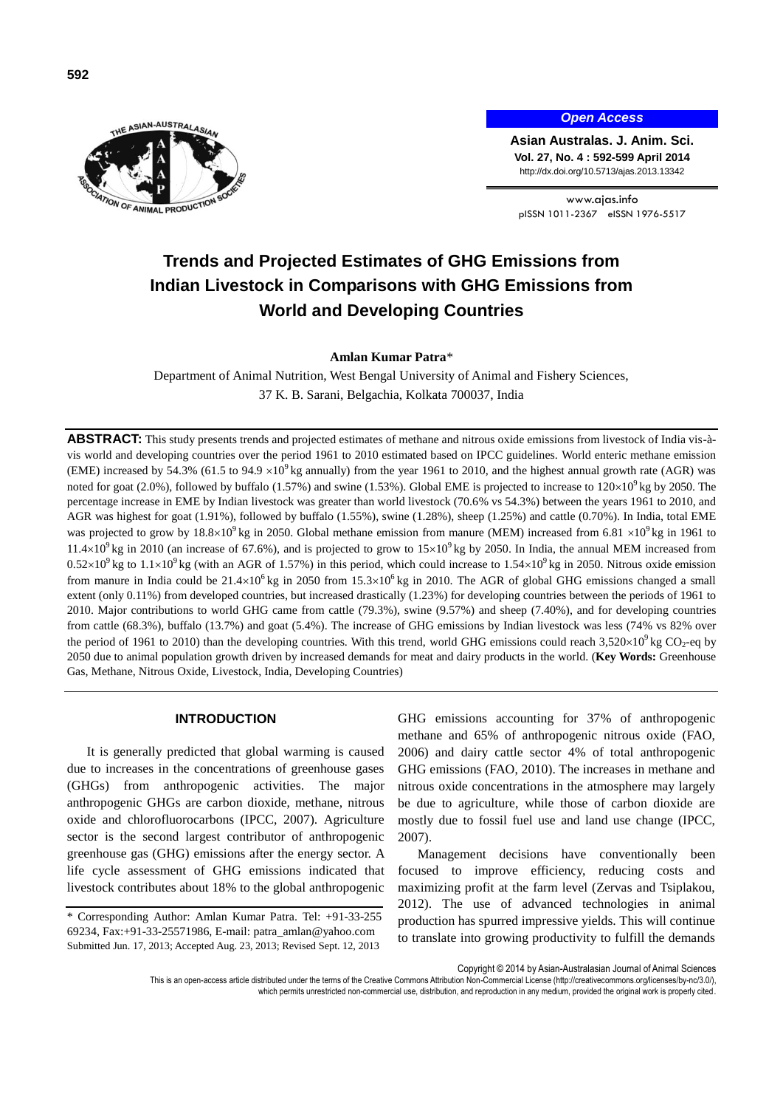

## *Open Access*

**Asian Australas. J. Anim. Sci. Vol. 27, No. 4 : 592-599 April 2014** http://dx.doi.org/10.5713/ajas.2013.13342

www.ajas.info pISSN 1011-2367 eISSN 1976-5517

# **Trends and Projected Estimates of GHG Emissions from Indian Livestock in Comparisons with GHG Emissions from World and Developing Countries**

## **Amlan Kumar Patra**\*

Department of Animal Nutrition, West Bengal University of Animal and Fishery Sciences, 37 K. B. Sarani, Belgachia, Kolkata 700037, India

**ABSTRACT:** This study presents trends and projected estimates of methane and nitrous oxide emissions from livestock of India vis-àvis world and developing countries over the period 1961 to 2010 estimated based on IPCC guidelines. World enteric methane emission (EME) increased by 54.3% (61.5 to 94.9  $\times$ 10<sup>9</sup>kg annually) from the year 1961 to 2010, and the highest annual growth rate (AGR) was noted for goat (2.0%), followed by buffalo (1.57%) and swine (1.53%). Global EME is projected to increase to  $120\times10^{9}$  kg by 2050. The percentage increase in EME by Indian livestock was greater than world livestock (70.6% vs 54.3%) between the years 1961 to 2010, and AGR was highest for goat (1.91%), followed by buffalo (1.55%), swine (1.28%), sheep (1.25%) and cattle (0.70%). In India, total EME was projected to grow by 18.8×10<sup>9</sup>kg in 2050. Global methane emission from manure (MEM) increased from 6.81 ×10<sup>9</sup>kg in 1961 to  $11.4\times10^{9}$  kg in 2010 (an increase of 67.6%), and is projected to grow to  $15\times10^{9}$  kg by 2050. In India, the annual MEM increased from  $0.52\times10^9$  kg to  $1.1\times10^9$  kg (with an AGR of 1.57%) in this period, which could increase to  $1.54\times10^9$  kg in 2050. Nitrous oxide emission from manure in India could be  $21.4\times10^6$  kg in  $2050$  from  $15.3\times10^6$  kg in 2010. The AGR of global GHG emissions changed a small extent (only 0.11%) from developed countries, but increased drastically (1.23%) for developing countries between the periods of 1961 to 2010. Major contributions to world GHG came from cattle (79.3%), swine (9.57%) and sheep (7.40%), and for developing countries from cattle (68.3%), buffalo (13.7%) and goat (5.4%). The increase of GHG emissions by Indian livestock was less (74% vs 82% over the period of 1961 to 2010) than the developing countries. With this trend, world GHG emissions could reach  $3,520\times10^9$  kg CO<sub>2</sub>-eq by 2050 due to animal population growth driven by increased demands for meat and dairy products in the world. (**Key Words:** Greenhouse Gas, Methane, Nitrous Oxide, Livestock, India, Developing Countries)

## **INTRODUCTION**

It is generally predicted that global warming is caused due to increases in the concentrations of greenhouse gases (GHGs) from anthropogenic activities. The major anthropogenic GHGs are carbon dioxide, methane, nitrous oxide and chlorofluorocarbons (IPCC, 2007). Agriculture sector is the second largest contributor of anthropogenic greenhouse gas (GHG) emissions after the energy sector. A life cycle assessment of GHG emissions indicated that livestock contributes about 18% to the global anthropogenic

GHG emissions accounting for 37% of anthropogenic methane and 65% of anthropogenic nitrous oxide (FAO, 2006) and dairy cattle sector 4% of total anthropogenic GHG emissions (FAO, 2010). The increases in methane and nitrous oxide concentrations in the atmosphere may largely be due to agriculture, while those of carbon dioxide are mostly due to fossil fuel use and land use change (IPCC, 2007).

Management decisions have conventionally been focused to improve efficiency, reducing costs and maximizing profit at the farm level (Zervas and Tsiplakou, 2012). The use of advanced technologies in animal production has spurred impressive yields. This will continue to translate into growing productivity to fulfill the demands

Copyright © 2014 by Asian-Australasian Journal of Animal Sciences

<sup>\*</sup> Corresponding Author: Amlan Kumar Patra. Tel: +91-33-255 69234, Fax:+91-33-25571986, E-mail: patra\_amlan@yahoo.com Submitted Jun. 17, 2013; Accepted Aug. 23, 2013; Revised Sept. 12, 2013

This is an open-access article distributed under the terms of the Creative Commons Attribution Non-Commercial License [\(http://creativecommons.org/licenses/by-nc/3.0/\),](http://creativecommons.org/licenses/by-nc/3.0/) which permits unrestricted non-commercial use, distribution, and reproduction in any medium, provided the original work is properly cited.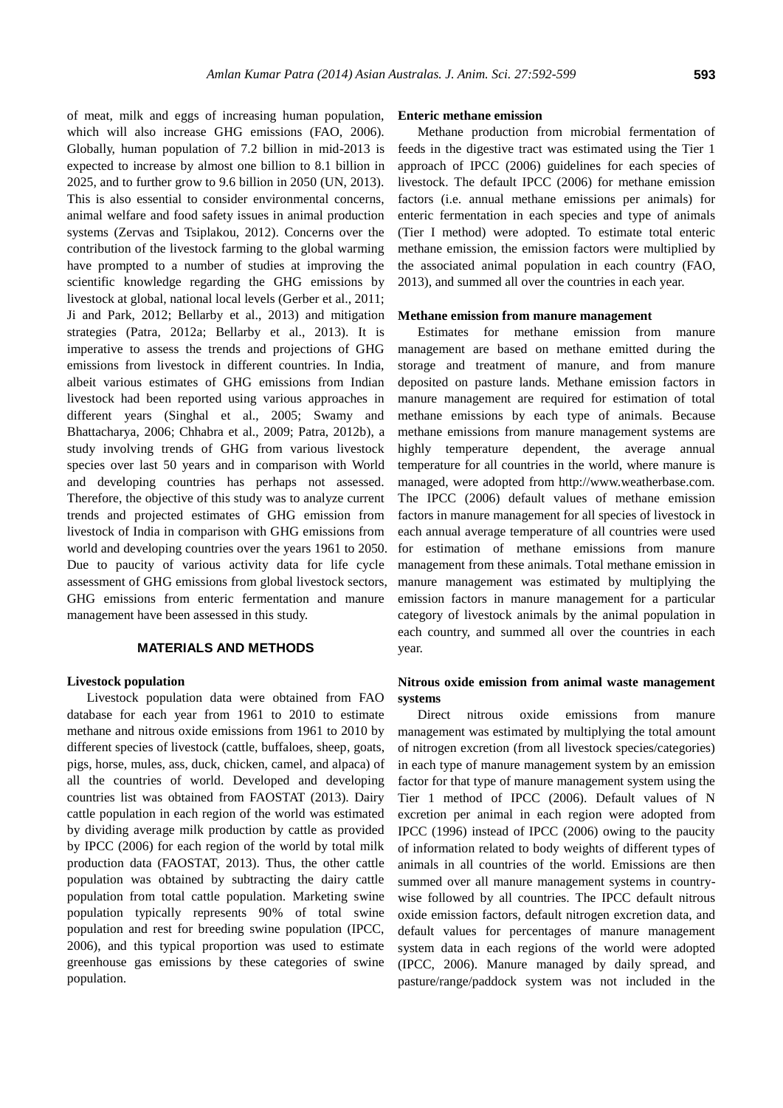of meat, milk and eggs of increasing human population, which will also increase GHG emissions (FAO, 2006). Globally, human population of 7.2 billion in mid-2013 is expected to increase by almost one billion to 8.1 billion in 2025, and to further grow to 9.6 billion in 2050 (UN, 2013). This is also essential to consider environmental concerns, animal welfare and food safety issues in animal production systems (Zervas and Tsiplakou, 2012). Concerns over the contribution of the livestock farming to the global warming have prompted to a number of studies at improving the scientific knowledge regarding the GHG emissions by livestock at global, national local levels (Gerber et al., 2011; Ji and Park, 2012; Bellarby et al., 2013) and mitigation strategies (Patra, 2012a; Bellarby et al., 2013). It is imperative to assess the trends and projections of GHG emissions from livestock in different countries. In India, albeit various estimates of GHG emissions from Indian livestock had been reported using various approaches in different years (Singhal et al., 2005; Swamy and Bhattacharya, 2006; Chhabra et al., 2009; Patra, 2012b), a study involving trends of GHG from various livestock species over last 50 years and in comparison with World and developing countries has perhaps not assessed. Therefore, the objective of this study was to analyze current trends and projected estimates of GHG emission from livestock of India in comparison with GHG emissions from world and developing countries over the years 1961 to 2050. Due to paucity of various activity data for life cycle assessment of GHG emissions from global livestock sectors, GHG emissions from enteric fermentation and manure management have been assessed in this study.

## **MATERIALS AND METHODS**

#### **Livestock population**

Livestock population data were obtained from FAO database for each year from 1961 to 2010 to estimate methane and nitrous oxide emissions from 1961 to 2010 by different species of livestock (cattle, buffaloes, sheep, goats, pigs, horse, mules, ass, duck, chicken, camel, and alpaca) of all the countries of world. Developed and developing countries list was obtained from FAOSTAT (2013). Dairy cattle population in each region of the world was estimated by dividing average milk production by cattle as provided by IPCC (2006) for each region of the world by total milk production data (FAOSTAT, 2013). Thus, the other cattle population was obtained by subtracting the dairy cattle population from total cattle population. Marketing swine population typically represents 90% of total swine population and rest for breeding swine population (IPCC, 2006), and this typical proportion was used to estimate greenhouse gas emissions by these categories of swine population.

#### **Enteric methane emission**

Methane production from microbial fermentation of feeds in the digestive tract was estimated using the Tier 1 approach of IPCC (2006) guidelines for each species of livestock. The default IPCC (2006) for methane emission factors (i.e. annual methane emissions per animals) for enteric fermentation in each species and type of animals (Tier I method) were adopted. To estimate total enteric methane emission, the emission factors were multiplied by the associated animal population in each country (FAO, 2013), and summed all over the countries in each year.

#### **Methane emission from manure management**

Estimates for methane emission from manure management are based on methane emitted during the storage and treatment of manure, and from manure deposited on pasture lands. Methane emission factors in manure management are required for estimation of total methane emissions by each type of animals. Because methane emissions from manure management systems are highly temperature dependent, the average annual temperature for all countries in the world, where manure is managed, were adopted from http://www.weatherbase.com. The IPCC (2006) default values of methane emission factors in manure management for all species of livestock in each annual average temperature of all countries were used for estimation of methane emissions from manure management from these animals. Total methane emission in manure management was estimated by multiplying the emission factors in manure management for a particular category of livestock animals by the animal population in each country, and summed all over the countries in each year.

## **Nitrous oxide emission from animal waste management systems**

Direct nitrous oxide emissions from manure management was estimated by multiplying the total amount of nitrogen excretion (from all livestock species/categories) in each type of manure management system by an emission factor for that type of manure management system using the Tier 1 method of IPCC (2006). Default values of N excretion per animal in each region were adopted from IPCC (1996) instead of IPCC (2006) owing to the paucity of information related to body weights of different types of animals in all countries of the world. Emissions are then summed over all manure management systems in countrywise followed by all countries. The IPCC default nitrous oxide emission factors, default nitrogen excretion data, and default values for percentages of manure management system data in each regions of the world were adopted (IPCC, 2006). Manure managed by daily spread, and pasture/range/paddock system was not included in the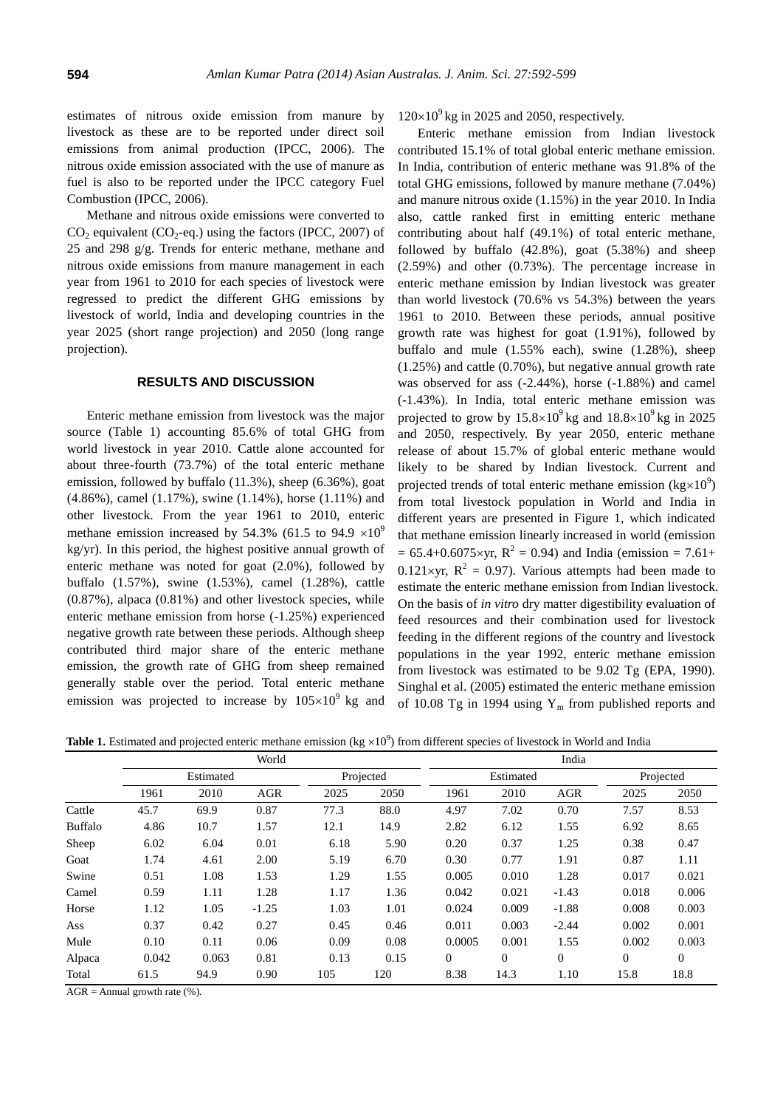estimates of nitrous oxide emission from manure by livestock as these are to be reported under direct soil emissions from animal production (IPCC, 2006). The nitrous oxide emission associated with the use of manure as fuel is also to be reported under the IPCC category Fuel Combustion (IPCC, 2006).

Methane and nitrous oxide emissions were converted to  $CO<sub>2</sub>$  equivalent (CO<sub>2</sub>-eq.) using the factors (IPCC, 2007) of 25 and 298 g/g. Trends for enteric methane, methane and nitrous oxide emissions from manure management in each year from 1961 to 2010 for each species of livestock were regressed to predict the different GHG emissions by livestock of world, India and developing countries in the year 2025 (short range projection) and 2050 (long range projection).

# **RESULTS AND DISCUSSION**

Enteric methane emission from livestock was the major source (Table 1) accounting 85.6% of total GHG from world livestock in year 2010. Cattle alone accounted for about three-fourth (73.7%) of the total enteric methane emission, followed by buffalo (11.3%), sheep (6.36%), goat (4.86%), camel (1.17%), swine (1.14%), horse (1.11%) and other livestock. From the year 1961 to 2010, enteric methane emission increased by 54.3% (61.5 to 94.9  $\times$ 10<sup>9</sup> kg/yr). In this period, the highest positive annual growth of enteric methane was noted for goat (2.0%), followed by buffalo (1.57%), swine (1.53%), camel (1.28%), cattle (0.87%), alpaca (0.81%) and other livestock species, while enteric methane emission from horse (-1.25%) experienced negative growth rate between these periods. Although sheep contributed third major share of the enteric methane emission, the growth rate of GHG from sheep remained generally stable over the period. Total enteric methane emission was projected to increase by  $105\times10^{9}$  kg and

 $120\times10^{9}$  kg in 2025 and 2050, respectively.

Enteric methane emission from Indian livestock contributed 15.1% of total global enteric methane emission. In India, contribution of enteric methane was 91.8% of the total GHG emissions, followed by manure methane (7.04%) and manure nitrous oxide (1.15%) in the year 2010. In India also, cattle ranked first in emitting enteric methane contributing about half (49.1%) of total enteric methane, followed by buffalo (42.8%), goat (5.38%) and sheep (2.59%) and other (0.73%). The percentage increase in enteric methane emission by Indian livestock was greater than world livestock (70.6% vs 54.3%) between the years 1961 to 2010. Between these periods, annual positive growth rate was highest for goat (1.91%), followed by buffalo and mule (1.55% each), swine (1.28%), sheep (1.25%) and cattle (0.70%), but negative annual growth rate was observed for ass (-2.44%), horse (-1.88%) and camel (-1.43%). In India, total enteric methane emission was projected to grow by  $15.8\times10^{9}$  kg and  $18.8\times10^{9}$  kg in 2025 and 2050, respectively. By year 2050, enteric methane release of about 15.7% of global enteric methane would likely to be shared by Indian livestock. Current and projected trends of total enteric methane emission ( $kg \times 10^9$ ) from total livestock population in World and India in different years are presented in Figure 1, which indicated that methane emission linearly increased in world (emission  $= 65.4 + 0.6075 \times yr$ ,  $R^2 = 0.94$ ) and India (emission  $= 7.61 +$ 0.121×yr,  $R^2 = 0.97$ ). Various attempts had been made to estimate the enteric methane emission from Indian livestock. On the basis of *in vitro* dry matter digestibility evaluation of feed resources and their combination used for livestock feeding in the different regions of the country and livestock populations in the year 1992, enteric methane emission from livestock was estimated to be 9.02 Tg (EPA, 1990). Singhal et al. (2005) estimated the enteric methane emission of 10.08 Tg in 1994 using  $Y_m$  from published reports and

**Table 1.** Estimated and projected enteric methane emission ( $kg \times 10^9$ ) from different species of livestock in World and India

|                |           |       | India      |      |           |          |           |            |              |           |  |
|----------------|-----------|-------|------------|------|-----------|----------|-----------|------------|--------------|-----------|--|
|                | Estimated |       |            |      | Projected |          | Estimated |            |              | Projected |  |
|                | 1961      | 2010  | <b>AGR</b> | 2025 | 2050      | 1961     | 2010      | <b>AGR</b> | 2025         | 2050      |  |
| Cattle         | 45.7      | 69.9  | 0.87       | 77.3 | 88.0      | 4.97     | 7.02      | 0.70       | 7.57         | 8.53      |  |
| <b>Buffalo</b> | 4.86      | 10.7  | 1.57       | 12.1 | 14.9      | 2.82     | 6.12      | 1.55       | 6.92         | 8.65      |  |
| Sheep          | 6.02      | 6.04  | 0.01       | 6.18 | 5.90      | 0.20     | 0.37      | 1.25       | 0.38         | 0.47      |  |
| Goat           | 1.74      | 4.61  | 2.00       | 5.19 | 6.70      | 0.30     | 0.77      | 1.91       | 0.87         | 1.11      |  |
| Swine          | 0.51      | 1.08  | 1.53       | 1.29 | 1.55      | 0.005    | 0.010     | 1.28       | 0.017        | 0.021     |  |
| Camel          | 0.59      | 1.11  | 1.28       | 1.17 | 1.36      | 0.042    | 0.021     | $-1.43$    | 0.018        | 0.006     |  |
| Horse          | 1.12      | 1.05  | $-1.25$    | 1.03 | 1.01      | 0.024    | 0.009     | $-1.88$    | 0.008        | 0.003     |  |
| Ass            | 0.37      | 0.42  | 0.27       | 0.45 | 0.46      | 0.011    | 0.003     | $-2.44$    | 0.002        | 0.001     |  |
| Mule           | 0.10      | 0.11  | 0.06       | 0.09 | 0.08      | 0.0005   | 0.001     | 1.55       | 0.002        | 0.003     |  |
| Alpaca         | 0.042     | 0.063 | 0.81       | 0.13 | 0.15      | $\theta$ | $\Omega$  | $\theta$   | $\mathbf{0}$ | $\Omega$  |  |
| Total          | 61.5      | 94.9  | 0.90       | 105  | 120       | 8.38     | 14.3      | 1.10       | 15.8         | 18.8      |  |

 $AGR =$  Annual growth rate  $%$ ).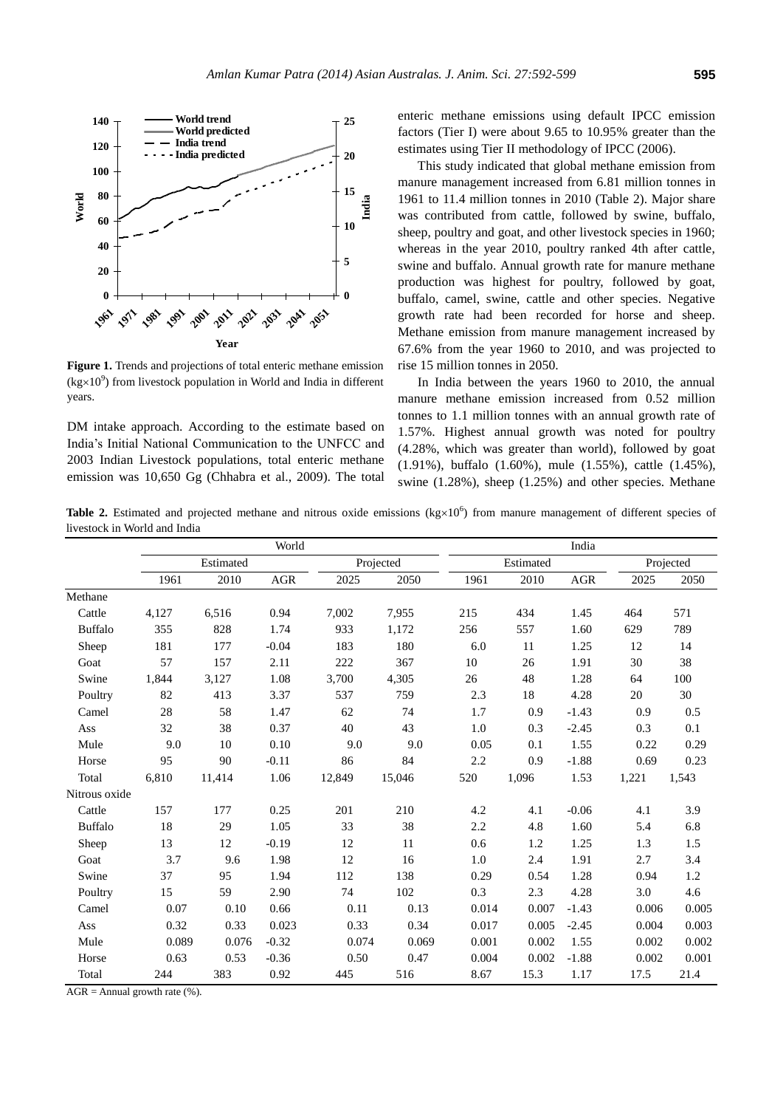

**Figure 1.** Trends and projections of total enteric methane emission  $(kgx10<sup>9</sup>)$  from livestock population in World and India in different years.

DM intake approach. According to the estimate based on India's Initial National Communication to the UNFCC and 2003 Indian Livestock populations, total enteric methane emission was 10,650 Gg (Chhabra et al., 2009). The total enteric methane emissions using default IPCC emission factors (Tier I) were about 9.65 to 10.95% greater than the estimates using Tier II methodology of IPCC (2006).

This study indicated that global methane emission from manure management increased from 6.81 million tonnes in 1961 to 11.4 million tonnes in 2010 (Table 2). Major share was contributed from cattle, followed by swine, buffalo, sheep, poultry and goat, and other livestock species in 1960; whereas in the year 2010, poultry ranked 4th after cattle, swine and buffalo. Annual growth rate for manure methane production was highest for poultry, followed by goat, buffalo, camel, swine, cattle and other species. Negative growth rate had been recorded for horse and sheep. Methane emission from manure management increased by 67.6% from the year 1960 to 2010, and was projected to rise 15 million tonnes in 2050.

In India between the years 1960 to 2010, the annual manure methane emission increased from 0.52 million tonnes to 1.1 million tonnes with an annual growth rate of 1.57%. Highest annual growth was noted for poultry (4.28%, which was greater than world), followed by goat (1.91%), buffalo (1.60%), mule (1.55%), cattle (1.45%), swine (1.28%), sheep (1.25%) and other species. Methane

**Table 2.** Estimated and projected methane and nitrous oxide emissions  $(kgx10<sup>6</sup>)$  from manure management of different species of livestock in World and India

|                | World     |        |         |        |           | India |           |            |       |       |  |
|----------------|-----------|--------|---------|--------|-----------|-------|-----------|------------|-------|-------|--|
|                | Estimated |        |         |        | Projected |       | Estimated | Projected  |       |       |  |
|                | 1961      | 2010   | $AGR$   | 2025   | 2050      | 1961  | 2010      | <b>AGR</b> | 2025  | 2050  |  |
| Methane        |           |        |         |        |           |       |           |            |       |       |  |
| Cattle         | 4,127     | 6,516  | 0.94    | 7,002  | 7,955     | 215   | 434       | 1.45       | 464   | 571   |  |
| <b>Buffalo</b> | 355       | 828    | 1.74    | 933    | 1,172     | 256   | 557       | 1.60       | 629   | 789   |  |
| Sheep          | 181       | 177    | $-0.04$ | 183    | 180       | 6.0   | 11        | 1.25       | 12    | 14    |  |
| Goat           | 57        | 157    | 2.11    | 222    | 367       | 10    | 26        | 1.91       | 30    | 38    |  |
| Swine          | 1,844     | 3,127  | 1.08    | 3,700  | 4,305     | 26    | 48        | 1.28       | 64    | 100   |  |
| Poultry        | 82        | 413    | 3.37    | 537    | 759       | 2.3   | 18        | 4.28       | 20    | 30    |  |
| Camel          | 28        | 58     | 1.47    | 62     | 74        | 1.7   | 0.9       | $-1.43$    | 0.9   | 0.5   |  |
| Ass            | 32        | 38     | 0.37    | 40     | 43        | 1.0   | 0.3       | $-2.45$    | 0.3   | 0.1   |  |
| Mule           | 9.0       | 10     | 0.10    | 9.0    | 9.0       | 0.05  | 0.1       | 1.55       | 0.22  | 0.29  |  |
| Horse          | 95        | 90     | $-0.11$ | 86     | 84        | 2.2   | 0.9       | $-1.88$    | 0.69  | 0.23  |  |
| Total          | 6,810     | 11,414 | 1.06    | 12,849 | 15,046    | 520   | 1,096     | 1.53       | 1,221 | 1,543 |  |
| Nitrous oxide  |           |        |         |        |           |       |           |            |       |       |  |
| Cattle         | 157       | 177    | 0.25    | 201    | 210       | 4.2   | 4.1       | $-0.06$    | 4.1   | 3.9   |  |
| <b>Buffalo</b> | 18        | 29     | 1.05    | 33     | 38        | 2.2   | 4.8       | 1.60       | 5.4   | 6.8   |  |
| Sheep          | 13        | 12     | $-0.19$ | 12     | 11        | 0.6   | 1.2       | 1.25       | 1.3   | 1.5   |  |
| Goat           | 3.7       | 9.6    | 1.98    | 12     | 16        | 1.0   | 2.4       | 1.91       | 2.7   | 3.4   |  |
| Swine          | 37        | 95     | 1.94    | 112    | 138       | 0.29  | 0.54      | 1.28       | 0.94  | 1.2   |  |
| Poultry        | 15        | 59     | 2.90    | 74     | 102       | 0.3   | 2.3       | 4.28       | 3.0   | 4.6   |  |
| Camel          | 0.07      | 0.10   | 0.66    | 0.11   | 0.13      | 0.014 | 0.007     | $-1.43$    | 0.006 | 0.005 |  |
| Ass            | 0.32      | 0.33   | 0.023   | 0.33   | 0.34      | 0.017 | 0.005     | $-2.45$    | 0.004 | 0.003 |  |
| Mule           | 0.089     | 0.076  | $-0.32$ | 0.074  | 0.069     | 0.001 | 0.002     | 1.55       | 0.002 | 0.002 |  |
| Horse          | 0.63      | 0.53   | $-0.36$ | 0.50   | 0.47      | 0.004 | 0.002     | $-1.88$    | 0.002 | 0.001 |  |
| Total          | 244       | 383    | 0.92    | 445    | 516       | 8.67  | 15.3      | 1.17       | 17.5  | 21.4  |  |

 $AGR =$  Annual growth rate  $%$ ).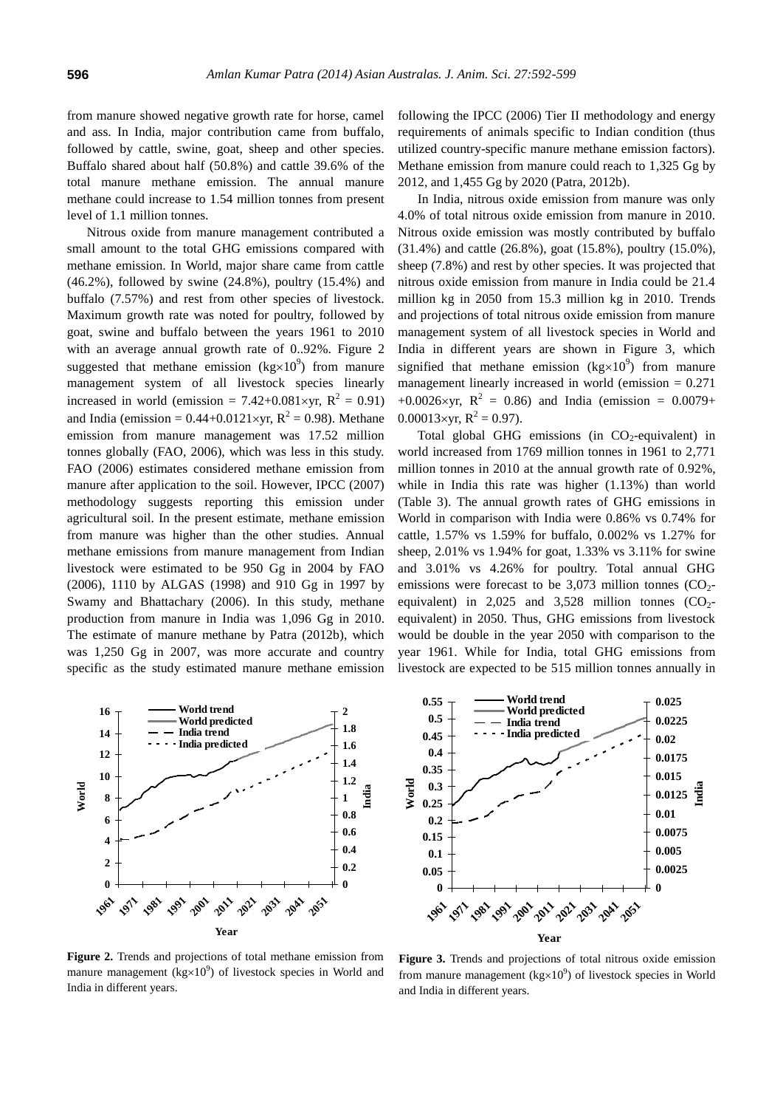from manure showed negative growth rate for horse, camel and ass. In India, major contribution came from buffalo, followed by cattle, swine, goat, sheep and other species. Buffalo shared about half (50.8%) and cattle 39.6% of the total manure methane emission. The annual manure methane could increase to 1.54 million tonnes from present level of 1.1 million tonnes.

Nitrous oxide from manure management contributed a small amount to the total GHG emissions compared with methane emission. In World, major share came from cattle (46.2%), followed by swine (24.8%), poultry (15.4%) and buffalo (7.57%) and rest from other species of livestock. Maximum growth rate was noted for poultry, followed by goat, swine and buffalo between the years 1961 to 2010 with an average annual growth rate of 0..92%. Figure 2 suggested that methane emission ( $kg \times 10^9$ ) from manure management system of all livestock species linearly increased in world (emission =  $7.42+0.081\times yr$ ,  $R^2 = 0.91$ ) and India (emission =  $0.44+0.0121 \times yr$ ,  $R^2 = 0.98$ ). Methane emission from manure management was 17.52 million tonnes globally (FAO, 2006), which was less in this study. FAO (2006) estimates considered methane emission from manure after application to the soil. However, IPCC (2007) methodology suggests reporting this emission under agricultural soil. In the present estimate, methane emission from manure was higher than the other studies. Annual methane emissions from manure management from Indian livestock were estimated to be 950 Gg in 2004 by FAO (2006), 1110 by ALGAS (1998) and 910 Gg in 1997 by Swamy and Bhattachary (2006). In this study, methane production from manure in India was 1,096 Gg in 2010. The estimate of manure methane by Patra (2012b), which was 1,250 Gg in 2007, was more accurate and country specific as the study estimated manure methane emission

following the IPCC (2006) Tier II methodology and energy requirements of animals specific to Indian condition (thus utilized country-specific manure methane emission factors). Methane emission from manure could reach to 1,325 Gg by 2012, and 1,455 Gg by 2020 (Patra, 2012b).

In India, nitrous oxide emission from manure was only 4.0% of total nitrous oxide emission from manure in 2010. Nitrous oxide emission was mostly contributed by buffalo (31.4%) and cattle (26.8%), goat (15.8%), poultry (15.0%), sheep (7.8%) and rest by other species. It was projected that nitrous oxide emission from manure in India could be 21.4 million kg in 2050 from 15.3 million kg in 2010. Trends and projections of total nitrous oxide emission from manure management system of all livestock species in World and India in different years are shown in Figure 3, which signified that methane emission ( $kg \times 10^9$ ) from manure management linearly increased in world (emission  $= 0.271$ ) +0.0026×yr,  $R^2 = 0.86$ ) and India (emission = 0.0079+ 0.00013×yr,  $R^2 = 0.97$ ).

Total global GHG emissions (in  $CO_2$ -equivalent) in world increased from 1769 million tonnes in 1961 to 2,771 million tonnes in 2010 at the annual growth rate of 0.92%, while in India this rate was higher (1.13%) than world (Table 3). The annual growth rates of GHG emissions in World in comparison with India were 0.86% vs 0.74% for cattle, 1.57% vs 1.59% for buffalo, 0.002% vs 1.27% for sheep, 2.01% vs 1.94% for goat, 1.33% vs 3.11% for swine and 3.01% vs 4.26% for poultry. Total annual GHG emissions were forecast to be  $3,073$  million tonnes  $(CO<sub>2</sub>$ equivalent) in  $2,025$  and  $3,528$  million tonnes  $(CO<sub>2</sub>$ equivalent) in 2050. Thus, GHG emissions from livestock would be double in the year 2050 with comparison to the year 1961. While for India, total GHG emissions from livestock are expected to be 515 million tonnes annually in



**Figure 2.** Trends and projections of total methane emission from manure management ( $kg \times 10^9$ ) of livestock species in World and India in different years.



**Figure 3.** Trends and projections of total nitrous oxide emission from manure management ( $kg \times 10^9$ ) of livestock species in World and India in different years.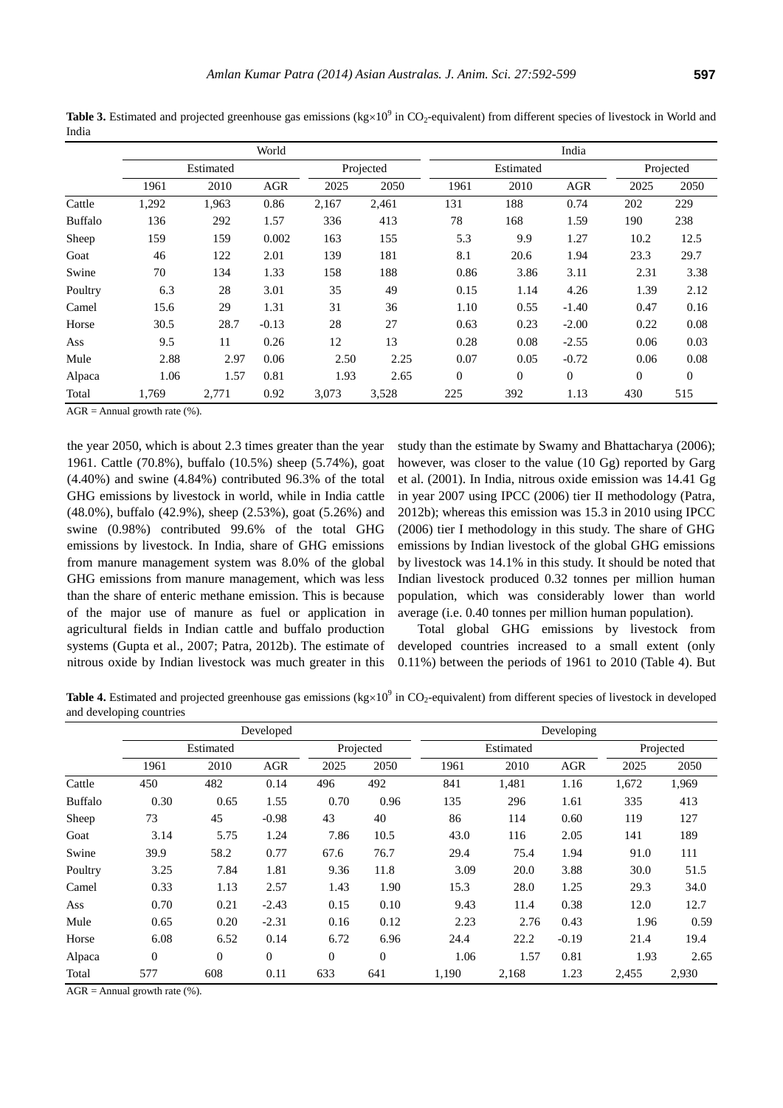|                |           | India |            |           |       |              |                |                |                |              |
|----------------|-----------|-------|------------|-----------|-------|--------------|----------------|----------------|----------------|--------------|
|                | Estimated |       |            | Projected |       | Estimated    |                |                | Projected      |              |
|                | 1961      | 2010  | <b>AGR</b> | 2025      | 2050  | 1961         | 2010           | <b>AGR</b>     | 2025           | 2050         |
| Cattle         | 1,292     | 1,963 | 0.86       | 2,167     | 2,461 | 131          | 188            | 0.74           | 202            | 229          |
| <b>Buffalo</b> | 136       | 292   | 1.57       | 336       | 413   | 78           | 168            | 1.59           | 190            | 238          |
| Sheep          | 159       | 159   | 0.002      | 163       | 155   | 5.3          | 9.9            | 1.27           | 10.2           | 12.5         |
| Goat           | 46        | 122   | 2.01       | 139       | 181   | 8.1          | 20.6           | 1.94           | 23.3           | 29.7         |
| Swine          | 70        | 134   | 1.33       | 158       | 188   | 0.86         | 3.86           | 3.11           | 2.31           | 3.38         |
| Poultry        | 6.3       | 28    | 3.01       | 35        | 49    | 0.15         | 1.14           | 4.26           | 1.39           | 2.12         |
| Camel          | 15.6      | 29    | 1.31       | 31        | 36    | 1.10         | 0.55           | $-1.40$        | 0.47           | 0.16         |
| Horse          | 30.5      | 28.7  | $-0.13$    | 28        | 27    | 0.63         | 0.23           | $-2.00$        | 0.22           | 0.08         |
| Ass            | 9.5       | 11    | 0.26       | 12        | 13    | 0.28         | 0.08           | $-2.55$        | 0.06           | 0.03         |
| Mule           | 2.88      | 2.97  | 0.06       | 2.50      | 2.25  | 0.07         | 0.05           | $-0.72$        | 0.06           | 0.08         |
| Alpaca         | 1.06      | 1.57  | 0.81       | 1.93      | 2.65  | $\mathbf{0}$ | $\overline{0}$ | $\overline{0}$ | $\overline{0}$ | $\mathbf{0}$ |
| Total          | 1,769     | 2,771 | 0.92       | 3,073     | 3,528 | 225          | 392            | 1.13           | 430            | 515          |

**Table 3.** Estimated and projected greenhouse gas emissions ( $kg \times 10^9$  in CO<sub>2</sub>-equivalent) from different species of livestock in World and India

 $AGR =$  Annual growth rate (%).

the year 2050, which is about 2.3 times greater than the year 1961. Cattle (70.8%), buffalo (10.5%) sheep (5.74%), goat (4.40%) and swine (4.84%) contributed 96.3% of the total GHG emissions by livestock in world, while in India cattle (48.0%), buffalo (42.9%), sheep (2.53%), goat (5.26%) and swine (0.98%) contributed 99.6% of the total GHG emissions by livestock. In India, share of GHG emissions from manure management system was 8.0% of the global GHG emissions from manure management, which was less than the share of enteric methane emission. This is because of the major use of manure as fuel or application in agricultural fields in Indian cattle and buffalo production systems (Gupta et al., 2007; Patra, 2012b). The estimate of nitrous oxide by Indian livestock was much greater in this

study than the estimate by Swamy and Bhattacharya (2006); however, was closer to the value (10 Gg) reported by Garg et al. (2001). In India, nitrous oxide emission was 14.41 Gg in year 2007 using IPCC (2006) tier II methodology (Patra, 2012b); whereas this emission was 15.3 in 2010 using IPCC (2006) tier I methodology in this study. The share of GHG emissions by Indian livestock of the global GHG emissions by livestock was 14.1% in this study. It should be noted that Indian livestock produced 0.32 tonnes per million human population, which was considerably lower than world average (i.e. 0.40 tonnes per million human population).

Total global GHG emissions by livestock from developed countries increased to a small extent (only 0.11%) between the periods of 1961 to 2010 (Table 4). But

Table 4. Estimated and projected greenhouse gas emissions (kg×10<sup>9</sup> in CO<sub>2</sub>-equivalent) from different species of livestock in developed and developing countries

|                |              | Developed    |              |                |                | Developing |           |            |       |           |  |
|----------------|--------------|--------------|--------------|----------------|----------------|------------|-----------|------------|-------|-----------|--|
|                | Estimated    |              |              | Projected      |                |            | Estimated |            |       | Projected |  |
|                | 1961         | 2010         | <b>AGR</b>   | 2025           | 2050           | 1961       | 2010      | <b>AGR</b> | 2025  | 2050      |  |
| Cattle         | 450          | 482          | 0.14         | 496            | 492            | 841        | 1,481     | 1.16       | 1,672 | 1,969     |  |
| <b>Buffalo</b> | 0.30         | 0.65         | 1.55         | 0.70           | 0.96           | 135        | 296       | 1.61       | 335   | 413       |  |
| Sheep          | 73           | 45           | $-0.98$      | 43             | 40             | 86         | 114       | 0.60       | 119   | 127       |  |
| Goat           | 3.14         | 5.75         | 1.24         | 7.86           | 10.5           | 43.0       | 116       | 2.05       | 141   | 189       |  |
| Swine          | 39.9         | 58.2         | 0.77         | 67.6           | 76.7           | 29.4       | 75.4      | 1.94       | 91.0  | 111       |  |
| Poultry        | 3.25         | 7.84         | 1.81         | 9.36           | 11.8           | 3.09       | 20.0      | 3.88       | 30.0  | 51.5      |  |
| Camel          | 0.33         | 1.13         | 2.57         | 1.43           | 1.90           | 15.3       | 28.0      | 1.25       | 29.3  | 34.0      |  |
| Ass            | 0.70         | 0.21         | $-2.43$      | 0.15           | 0.10           | 9.43       | 11.4      | 0.38       | 12.0  | 12.7      |  |
| Mule           | 0.65         | 0.20         | $-2.31$      | 0.16           | 0.12           | 2.23       | 2.76      | 0.43       | 1.96  | 0.59      |  |
| Horse          | 6.08         | 6.52         | 0.14         | 6.72           | 6.96           | 24.4       | 22.2      | $-0.19$    | 21.4  | 19.4      |  |
| Alpaca         | $\mathbf{0}$ | $\mathbf{0}$ | $\mathbf{0}$ | $\overline{0}$ | $\overline{0}$ | 1.06       | 1.57      | 0.81       | 1.93  | 2.65      |  |
| Total          | 577          | 608          | 0.11         | 633            | 641            | 1,190      | 2,168     | 1.23       | 2,455 | 2,930     |  |

 $AGR =$  Annual growth rate  $(\%).$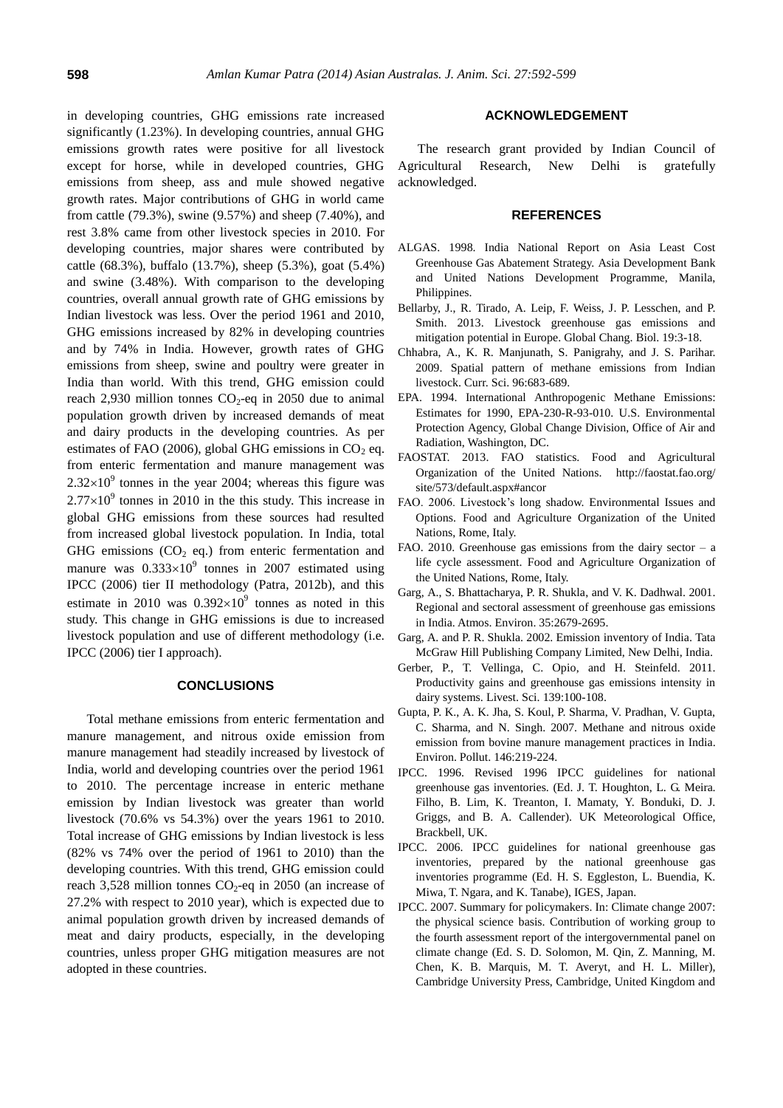in developing countries, GHG emissions rate increased significantly (1.23%). In developing countries, annual GHG emissions growth rates were positive for all livestock except for horse, while in developed countries, GHG emissions from sheep, ass and mule showed negative growth rates. Major contributions of GHG in world came from cattle (79.3%), swine (9.57%) and sheep (7.40%), and rest 3.8% came from other livestock species in 2010. For developing countries, major shares were contributed by cattle (68.3%), buffalo (13.7%), sheep (5.3%), goat (5.4%) and swine (3.48%). With comparison to the developing countries, overall annual growth rate of GHG emissions by Indian livestock was less. Over the period 1961 and 2010, GHG emissions increased by 82% in developing countries and by 74% in India. However, growth rates of GHG emissions from sheep, swine and poultry were greater in India than world. With this trend, GHG emission could reach 2,930 million tonnes  $CO<sub>2</sub>$ -eq in 2050 due to animal population growth driven by increased demands of meat and dairy products in the developing countries. As per estimates of FAO (2006), global GHG emissions in  $CO<sub>2</sub>$  eq. from enteric fermentation and manure management was  $2.32 \times 10^9$  tonnes in the year 2004; whereas this figure was  $2.77 \times 10^9$  tonnes in 2010 in the this study. This increase in global GHG emissions from these sources had resulted from increased global livestock population. In India, total GHG emissions  $(CO<sub>2</sub> eq.)$  from enteric fermentation and manure was  $0.333 \times 10^9$  tonnes in 2007 estimated using IPCC (2006) tier II methodology (Patra, 2012b), and this estimate in 2010 was  $0.392 \times 10^9$  tonnes as noted in this study. This change in GHG emissions is due to increased livestock population and use of different methodology (i.e. IPCC (2006) tier I approach).

## **CONCLUSIONS**

Total methane emissions from enteric fermentation and manure management, and nitrous oxide emission from manure management had steadily increased by livestock of India, world and developing countries over the period 1961 to 2010. The percentage increase in enteric methane emission by Indian livestock was greater than world livestock (70.6% vs 54.3%) over the years 1961 to 2010. Total increase of GHG emissions by Indian livestock is less (82% vs 74% over the period of 1961 to 2010) than the developing countries. With this trend, GHG emission could reach 3,528 million tonnes  $CO<sub>2</sub>$ -eq in 2050 (an increase of 27.2% with respect to 2010 year), which is expected due to animal population growth driven by increased demands of meat and dairy products, especially, in the developing countries, unless proper GHG mitigation measures are not adopted in these countries.

## **ACKNOWLEDGEMENT**

The research grant provided by Indian Council of Agricultural Research, New Delhi is gratefully acknowledged.

### **REFERENCES**

- ALGAS. 1998. India National Report on Asia Least Cost Greenhouse Gas Abatement Strategy. Asia Development Bank and United Nations Development Programme, Manila, Philippines.
- Bellarby, J., R. Tirado, A. Leip, F. Weiss, J. P. Lesschen, and P. Smith. 2013. [Livestock greenhouse gas emissions and](http://onlinelibrary.wiley.com/doi/10.1111/j.1365-2486.2012.02786.x/pdf)  [mitigation potential in Europe.](http://onlinelibrary.wiley.com/doi/10.1111/j.1365-2486.2012.02786.x/pdf) Global Chang. Biol. 19:3-18.
- Chhabra, A., K. R. Manjunath, S. Panigrahy, and J. S. Parihar. 2009. [Spatial pattern of methane emissions from Indian](http://environmentportal.in/files/Spatial%20pattern%20of%20methane%20emissions.pdf)  [livestock.](http://environmentportal.in/files/Spatial%20pattern%20of%20methane%20emissions.pdf) Curr. Sci. 96:683-689.
- EPA. 1994. International Anthropogenic Methane Emissions: Estimates for 1990, EPA-230-R-93-010. U.S. Environmental Protection Agency, Global Change Division, Office of Air and Radiation, Washington, DC.
- FAOSTAT. 2013. FAO statistics. Food and Agricultural Organization of the United Nations. [http://faostat.fao.org/](http://faostat.fao.org/site/573/default.aspx#ancor) [site/573/default.aspx#ancor](http://faostat.fao.org/site/573/default.aspx#ancor)
- FAO. 2006. Livestock's long shadow. Environmental Issues and Options. Food and Agriculture Organization of the United Nations, Rome, Italy.
- FAO. 2010. Greenhouse gas emissions from the dairy sector a life cycle assessment. Food and Agriculture Organization of the United Nations, Rome, Italy.
- Garg, A., S. Bhattacharya, P. R. Shukla, and V. K. Dadhwal. 2001. [Regional and sectoral assessment of greenhouse gas emissions](http://www.sciencedirect.com/science/article/pii/S1352231000004143)  [in India.](http://www.sciencedirect.com/science/article/pii/S1352231000004143) Atmos. Environ. 35:2679-2695.
- Garg, A. and P. R. Shukla. 2002. Emission inventory of India. Tata McGraw Hill Publishing Company Limited, New Delhi, India.
- Gerber, P., T. Vellinga, C. Opio, and H. Steinfeld. 2011. [Productivity gains and greenhouse gas emissions intensity in](http://www.sciencedirect.com/science/article/pii/S1871141311000953)  [dairy systems.](http://www.sciencedirect.com/science/article/pii/S1871141311000953) Livest. Sci. 139:100-108.
- Gupta, P. K., A. K. Jha, S. Koul, P. Sharma, V. Pradhan, V. Gupta, C. Sharma, and N. Singh. 2007. [Methane and nitrous oxide](http://www.sciencedirect.com/science/article/pii/S026974910600409X)  [emission from bovine manure management practices in India.](http://www.sciencedirect.com/science/article/pii/S026974910600409X) Environ. Pollut. 146:219-224.
- IPCC. 1996. Revised 1996 IPCC guidelines for national greenhouse gas inventories. (Ed. J. T. Houghton, L. G. Meira. Filho, B. Lim, K. Treanton, I. Mamaty, Y. Bonduki, D. J. Griggs, and B. A. Callender). UK Meteorological Office, Brackbell, UK.
- IPCC. 2006. IPCC guidelines for national greenhouse gas inventories, prepared by the national greenhouse gas inventories programme (Ed. H. S. Eggleston, L. Buendia, K. Miwa, T. Ngara, and K. Tanabe), IGES, Japan.
- IPCC. 2007. Summary for policymakers. In: Climate change 2007: the physical science basis. Contribution of working group to the fourth assessment report of the intergovernmental panel on climate change (Ed. S. D. Solomon, M. Qin, Z. Manning, M. Chen, K. B. Marquis, M. T. Averyt, and H. L. Miller), Cambridge University Press, Cambridge, United Kingdom and